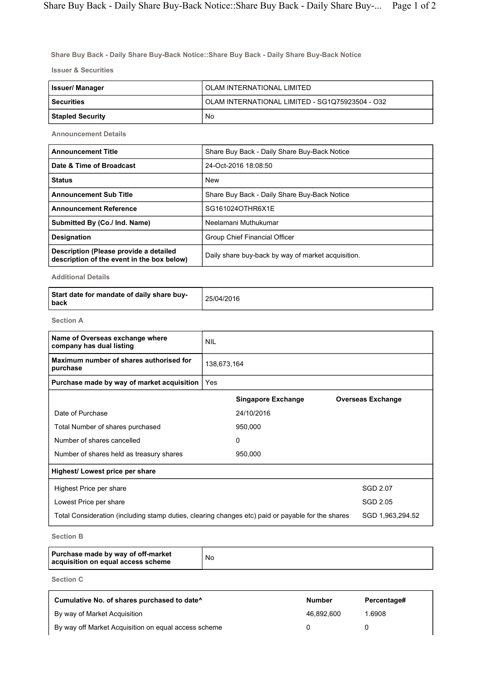Share Buy Back - Daily Share Buy-Back Notice::Share Buy Back - Daily Share Buy-Back Notice

Issuer & Securities

| Issuer/ Manager         | OLAM INTERNATIONAL LIMITED                      |  |  |  |
|-------------------------|-------------------------------------------------|--|--|--|
| <b>Securities</b>       | OLAM INTERNATIONAL LIMITED - SG1Q75923504 - O32 |  |  |  |
| <b>Stapled Security</b> | No                                              |  |  |  |

Announcement Details

| <b>Announcement Title</b>                                                            | Share Buy Back - Daily Share Buy-Back Notice       |
|--------------------------------------------------------------------------------------|----------------------------------------------------|
| Date & Time of Broadcast                                                             | 24-Oct-2016 18:08:50                               |
| <b>Status</b>                                                                        | <b>New</b>                                         |
| <b>Announcement Sub Title</b>                                                        | Share Buy Back - Daily Share Buy-Back Notice       |
| <b>Announcement Reference</b>                                                        | SG161024OTHR6X1E                                   |
| Submitted By (Co./ Ind. Name)                                                        | Neelamani Muthukumar                               |
| <b>Designation</b>                                                                   | Group Chief Financial Officer                      |
| Description (Please provide a detailed<br>description of the event in the box below) | Daily share buy-back by way of market acquisition. |

Additional Details

| Start date for mandate of daily share buy-<br>l back | 25/04/2016 |
|------------------------------------------------------|------------|
|------------------------------------------------------|------------|

Section A

| Name of Overseas exchange where<br>company has dual listing | <b>NIL</b>                                                                                                            |                           |                          |  |  |  |
|-------------------------------------------------------------|-----------------------------------------------------------------------------------------------------------------------|---------------------------|--------------------------|--|--|--|
| Maximum number of shares authorised for<br>purchase         |                                                                                                                       | 138,673,164               |                          |  |  |  |
| Purchase made by way of market acquisition                  | Yes                                                                                                                   |                           |                          |  |  |  |
|                                                             |                                                                                                                       | <b>Singapore Exchange</b> | <b>Overseas Exchange</b> |  |  |  |
| Date of Purchase                                            |                                                                                                                       | 24/10/2016                |                          |  |  |  |
| Total Number of shares purchased                            |                                                                                                                       | 950,000                   |                          |  |  |  |
| Number of shares cancelled                                  |                                                                                                                       | 0                         |                          |  |  |  |
| Number of shares held as treasury shares                    |                                                                                                                       | 950,000                   |                          |  |  |  |
| Highest/ Lowest price per share                             |                                                                                                                       |                           |                          |  |  |  |
| Highest Price per share                                     |                                                                                                                       |                           | SGD 2.07                 |  |  |  |
| Lowest Price per share                                      |                                                                                                                       |                           | SGD 2.05                 |  |  |  |
|                                                             | Total Consideration (including stamp duties, clearing changes etc) paid or payable for the shares<br>SGD 1,963,294.52 |                           |                          |  |  |  |
| 0 - - 1 - - - D                                             |                                                                                                                       |                           |                          |  |  |  |

Section B

|  | Purchase made by way of off-market<br>acquisition on equal access scheme | No |
|--|--------------------------------------------------------------------------|----|
|--|--------------------------------------------------------------------------|----|

Section C

| Cumulative No. of shares purchased to date <sup>^</sup> | <b>Number</b> | Percentage# |
|---------------------------------------------------------|---------------|-------------|
| By way of Market Acquisition                            | 46.892.600    | .6908       |
| By way off Market Acquisition on equal access scheme    |               |             |

٦